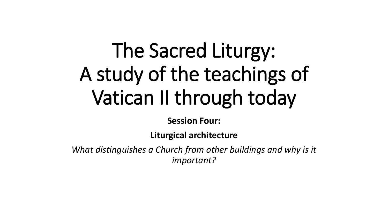# The Sacred Liturgy: A study of the teachings of Vatican II through today

**Session Four:**

**Liturgical architecture**

*What distinguishes a Church from other buildings and why is it important?*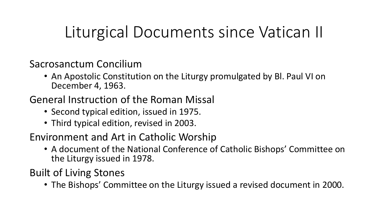### Liturgical Documents since Vatican II

Sacrosanctum Concilium

• An Apostolic Constitution on the Liturgy promulgated by Bl. Paul VI on December 4, 1963.

#### General Instruction of the Roman Missal

- Second typical edition, issued in 1975.
- Third typical edition, revised in 2003.

#### Environment and Art in Catholic Worship

• A document of the National Conference of Catholic Bishops' Committee on the Liturgy issued in 1978.

Built of Living Stones

• The Bishops' Committee on the Liturgy issued a revised document in 2000.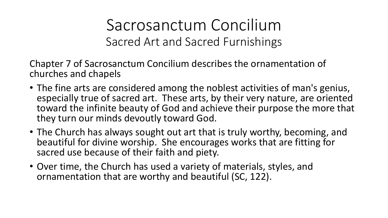Sacrosanctum Concilium Sacred Art and Sacred Furnishings

Chapter 7 of Sacrosanctum Concilium describes the ornamentation of churches and chapels

- The fine arts are considered among the noblest activities of man's genius, especially true of sacred art. These arts, by their very nature, are oriented toward the infinite beauty of God and achieve their purpose the more that they turn our minds devoutly toward God.
- The Church has always sought out art that is truly worthy, becoming, and beautiful for divine worship. She encourages works that are fitting for sacred use because of their faith and piety.
- Over time, the Church has used a variety of materials, styles, and ornamentation that are worthy and beautiful (SC, 122).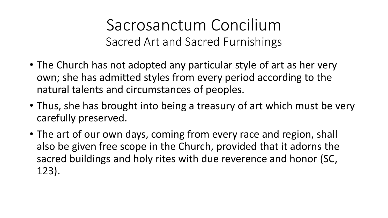Sacrosanctum Concilium Sacred Art and Sacred Furnishings

- The Church has not adopted any particular style of art as her very own; she has admitted styles from every period according to the natural talents and circumstances of peoples.
- Thus, she has brought into being a treasury of art which must be very carefully preserved.
- The art of our own days, coming from every race and region, shall also be given free scope in the Church, provided that it adorns the sacred buildings and holy rites with due reverence and honor (SC, 123).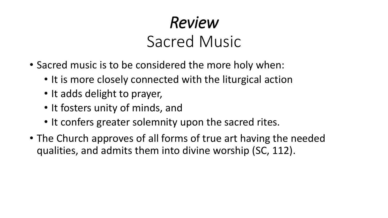## *Review* Sacred Music

- Sacred music is to be considered the more holy when:
	- It is more closely connected with the liturgical action
	- It adds delight to prayer,
	- It fosters unity of minds, and
	- It confers greater solemnity upon the sacred rites.
- The Church approves of all forms of true art having the needed qualities, and admits them into divine worship (SC, 112).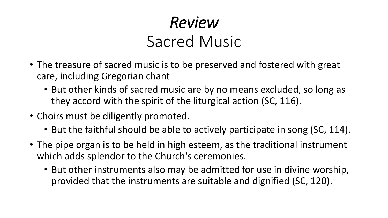## *Review* Sacred Music

- The treasure of sacred music is to be preserved and fostered with great care, including Gregorian chant
	- But other kinds of sacred music are by no means excluded, so long as they accord with the spirit of the liturgical action (SC, 116).
- Choirs must be diligently promoted.
	- But the faithful should be able to actively participate in song (SC, 114).
- The pipe organ is to be held in high esteem, as the traditional instrument which adds splendor to the Church's ceremonies.
	- But other instruments also may be admitted for use in divine worship, provided that the instruments are suitable and dignified (SC, 120).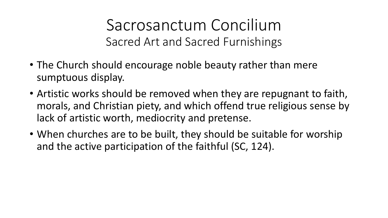Sacrosanctum Concilium Sacred Art and Sacred Furnishings

- The Church should encourage noble beauty rather than mere sumptuous display.
- Artistic works should be removed when they are repugnant to faith, morals, and Christian piety, and which offend true religious sense by lack of artistic worth, mediocrity and pretense.
- When churches are to be built, they should be suitable for worship and the active participation of the faithful (SC, 124).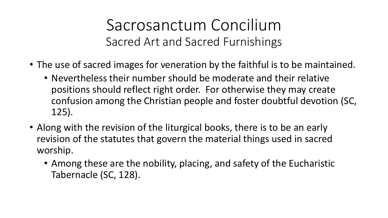Sacrosanctum Concilium Sacred Art and Sacred Furnishings

- The use of sacred images for veneration by the faithful is to be maintained.
	- Nevertheless their number should be moderate and their relative positions should reflect right order. For otherwise they may create confusion among the Christian people and foster doubtful devotion (SC, 125).
- Along with the revision of the liturgical books, there is to be an early revision of the statutes that govern the material things used in sacred worship.
	- Among these are the nobility, placing, and safety of the Eucharistic Tabernacle (SC, 128).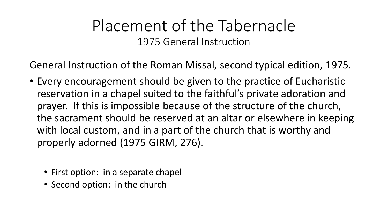#### Placement of the Tabernacle 1975 General Instruction

General Instruction of the Roman Missal, second typical edition, 1975.

- Every encouragement should be given to the practice of Eucharistic reservation in a chapel suited to the faithful's private adoration and prayer. If this is impossible because of the structure of the church, the sacrament should be reserved at an altar or elsewhere in keeping with local custom, and in a part of the church that is worthy and properly adorned (1975 GIRM, 276).
	- First option: in a separate chapel
	- Second option: in the church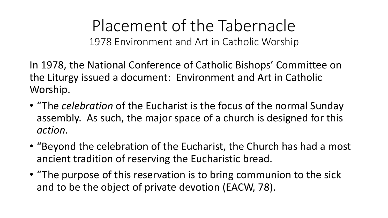In 1978, the National Conference of Catholic Bishops' Committee on the Liturgy issued a document: Environment and Art in Catholic Worship.

- "The *celebration* of the Eucharist is the focus of the normal Sunday assembly. As such, the major space of a church is designed for this *action*.
- "Beyond the celebration of the Eucharist, the Church has had a most ancient tradition of reserving the Eucharistic bread.
- "The purpose of this reservation is to bring communion to the sick and to be the object of private devotion (EACW, 78).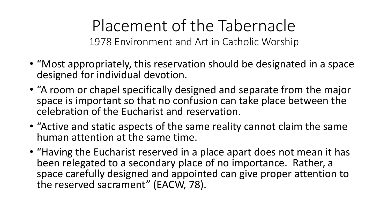- "Most appropriately, this reservation should be designated in a space designed for individual devotion.
- "A room or chapel specifically designed and separate from the major space is important so that no confusion can take place between the celebration of the Eucharist and reservation.
- "Active and static aspects of the same reality cannot claim the same human attention at the same time.
- "Having the Eucharist reserved in a place apart does not mean it has been relegated to a secondary place of no importance. Rather, a space carefully designed and appointed can give proper attention to the reserved sacrament" (EACW, 78).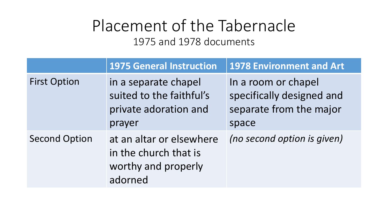Placement of the Tabernacle 1975 and 1978 documents

|                      | <b>1975 General Instruction</b>                                                     | <b>1978 Environment and Art</b>                                                      |
|----------------------|-------------------------------------------------------------------------------------|--------------------------------------------------------------------------------------|
| <b>First Option</b>  | in a separate chapel<br>suited to the faithful's<br>private adoration and<br>prayer | In a room or chapel<br>specifically designed and<br>separate from the major<br>space |
| <b>Second Option</b> | at an altar or elsewhere<br>in the church that is<br>worthy and properly<br>adorned | (no second option is given)                                                          |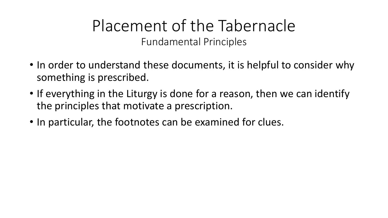### Placement of the Tabernacle Fundamental Principles

- In order to understand these documents, it is helpful to consider why something is prescribed.
- If everything in the Liturgy is done for a reason, then we can identify the principles that motivate a prescription.
- In particular, the footnotes can be examined for clues.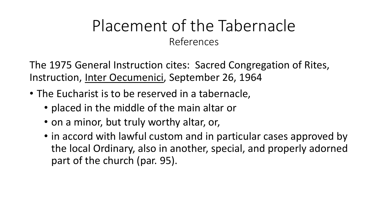The 1975 General Instruction cites: Sacred Congregation of Rites, Instruction, Inter Oecumenici, September 26, 1964

- The Eucharist is to be reserved in a tabernacle,
	- placed in the middle of the main altar or
	- on a minor, but truly worthy altar, or,
	- in accord with lawful custom and in particular cases approved by the local Ordinary, also in another, special, and properly adorned part of the church (par. 95).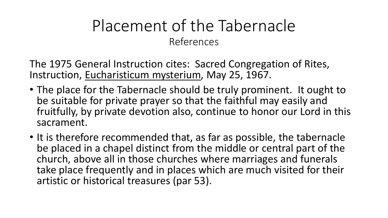The 1975 General Instruction cites: Sacred Congregation of Rites, Instruction, Eucharisticum mysterium, May 25, 1967.

- The place for the Tabernacle should be truly prominent. It ought to be suitable for private prayer so that the faithful may easily and fruitfully, by private devotion also, continue to honor our Lord in this sacrament.
- It is therefore recommended that, as far as possible, the tabernacle be placed in a chapel distinct from the middle or central part of the church, above all in those churches where marriages and funerals take place frequently and in places which are much visited for their artistic or historical treasures (par 53).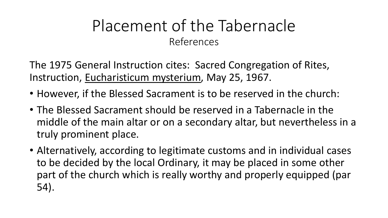The 1975 General Instruction cites: Sacred Congregation of Rites, Instruction, Eucharisticum mysterium, May 25, 1967.

- However, if the Blessed Sacrament is to be reserved in the church:
- The Blessed Sacrament should be reserved in a Tabernacle in the middle of the main altar or on a secondary altar, but nevertheless in a truly prominent place.
- Alternatively, according to legitimate customs and in individual cases to be decided by the local Ordinary, it may be placed in some other part of the church which is really worthy and properly equipped (par 54).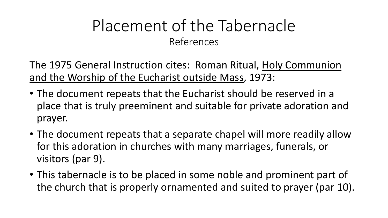The 1975 General Instruction cites: Roman Ritual, Holy Communion and the Worship of the Eucharist outside Mass, 1973:

- The document repeats that the Eucharist should be reserved in a place that is truly preeminent and suitable for private adoration and prayer.
- The document repeats that a separate chapel will more readily allow for this adoration in churches with many marriages, funerals, or visitors (par 9).
- This tabernacle is to be placed in some noble and prominent part of the church that is properly ornamented and suited to prayer (par 10).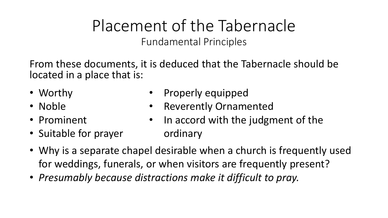Placement of the Tabernacle Fundamental Principles

From these documents, it is deduced that the Tabernacle should be located in a place that is:

- Worthy
- Noble
- Prominent
- Suitable for prayer
- Properly equipped
- **Reverently Ornamented**
- In accord with the judgment of the ordinary
- Why is a separate chapel desirable when a church is frequently used for weddings, funerals, or when visitors are frequently present?
- *Presumably because distractions make it difficult to pray.*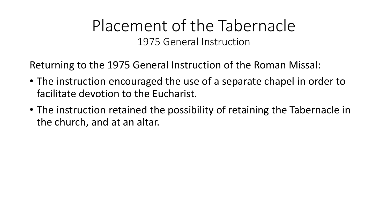#### Placement of the Tabernacle 1975 General Instruction

Returning to the 1975 General Instruction of the Roman Missal:

- The instruction encouraged the use of a separate chapel in order to facilitate devotion to the Eucharist.
- The instruction retained the possibility of retaining the Tabernacle in the church, and at an altar.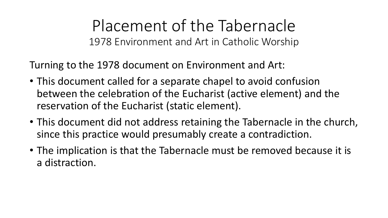Turning to the 1978 document on Environment and Art:

- This document called for a separate chapel to avoid confusion between the celebration of the Eucharist (active element) and the reservation of the Eucharist (static element).
- This document did not address retaining the Tabernacle in the church, since this practice would presumably create a contradiction.
- The implication is that the Tabernacle must be removed because it is a distraction.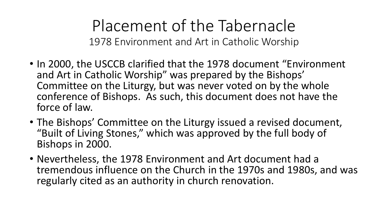- In 2000, the USCCB clarified that the 1978 document "Environment and Art in Catholic Worship" was prepared by the Bishops' Committee on the Liturgy, but was never voted on by the whole conference of Bishops. As such, this document does not have the force of law.
- The Bishops' Committee on the Liturgy issued a revised document, "Built of Living Stones," which was approved by the full body of Bishops in 2000.
- Nevertheless, the 1978 Environment and Art document had a tremendous influence on the Church in the 1970s and 1980s, and was regularly cited as an authority in church renovation.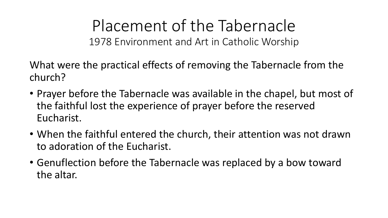What were the practical effects of removing the Tabernacle from the church?

- Prayer before the Tabernacle was available in the chapel, but most of the faithful lost the experience of prayer before the reserved Eucharist.
- When the faithful entered the church, their attention was not drawn to adoration of the Eucharist.
- Genuflection before the Tabernacle was replaced by a bow toward the altar.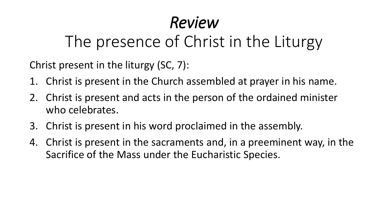## *Review*

### The presence of Christ in the Liturgy

Christ present in the liturgy (SC, 7):

- 1. Christ is present in the Church assembled at prayer in his name.
- 2. Christ is present and acts in the person of the ordained minister who celebrates.
- 3. Christ is present in his word proclaimed in the assembly.
- 4. Christ is present in the sacraments and, in a preeminent way, in the Sacrifice of the Mass under the Eucharistic Species.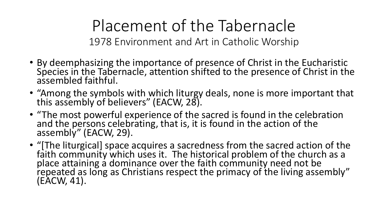- By deemphasizing the importance of presence of Christ in the Eucharistic Species in the Tabernacle, attention shifted to the presence of Christ in the assembled faithful.
- "Among the symbols with which liturgy deals, none is more important that this assembly of believers" (EACW, 28).
- "The most powerful experience of the sacred is found in the celebration and the persons celebrating, that is, it is found in the action of the assembly" (EACW, 29).
- "[The liturgical] space acquires a sacredness from the sacred action of the faith community which uses it. The historical problem of the church as a place attaining a dominance over the faith community need not be repeated as long as Christians respect the primacy of the living assembly" (EACW, 41).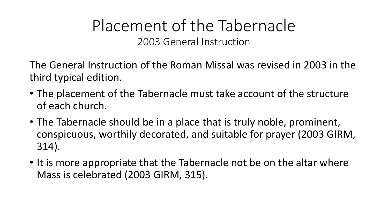### Placement of the Tabernacle 2003 General Instruction

The General Instruction of the Roman Missal was revised in 2003 in the third typical edition.

- The placement of the Tabernacle must take account of the structure of each church.
- The Tabernacle should be in a place that is truly noble, prominent, conspicuous, worthily decorated, and suitable for prayer (2003 GIRM, 314).
- It is more appropriate that the Tabernacle not be on the altar where Mass is celebrated (2003 GIRM, 315).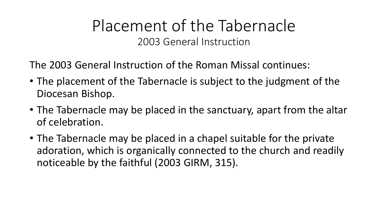#### Placement of the Tabernacle 2003 General Instruction

The 2003 General Instruction of the Roman Missal continues:

- The placement of the Tabernacle is subject to the judgment of the Diocesan Bishop.
- The Tabernacle may be placed in the sanctuary, apart from the altar of celebration.
- The Tabernacle may be placed in a chapel suitable for the private adoration, which is organically connected to the church and readily noticeable by the faithful (2003 GIRM, 315).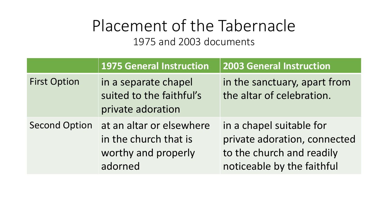Placement of the Tabernacle 1975 and 2003 documents

|                      | 1975 General Instruction                                                            | <b>2003 General Instruction</b>                                                                                     |
|----------------------|-------------------------------------------------------------------------------------|---------------------------------------------------------------------------------------------------------------------|
| <b>First Option</b>  | in a separate chapel<br>suited to the faithful's<br>private adoration               | in the sanctuary, apart from<br>the altar of celebration.                                                           |
| <b>Second Option</b> | at an altar or elsewhere<br>in the church that is<br>worthy and properly<br>adorned | in a chapel suitable for<br>private adoration, connected<br>to the church and readily<br>noticeable by the faithful |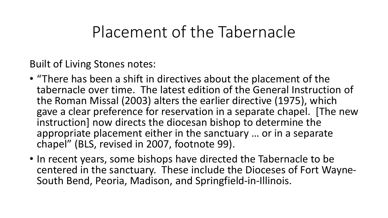### Placement of the Tabernacle

Built of Living Stones notes:

- "There has been a shift in directives about the placement of the tabernacle over time. The latest edition of the General Instruction of the Roman Missal (2003) alters the earlier directive (1975), which gave a clear preference for reservation in a separate chapel. [The new instruction] now directs the diocesan bishop to determine the appropriate placement either in the sanctuary … or in a separate chapel" (BLS, revised in 2007, footnote 99).
- In recent years, some bishops have directed the Tabernacle to be centered in the sanctuary. These include the Dioceses of Fort Wayne-South Bend, Peoria, Madison, and Springfield-in-Illinois.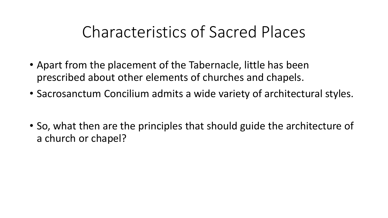### Characteristics of Sacred Places

- Apart from the placement of the Tabernacle, little has been prescribed about other elements of churches and chapels.
- Sacrosanctum Concilium admits a wide variety of architectural styles.
- So, what then are the principles that should guide the architecture of a church or chapel?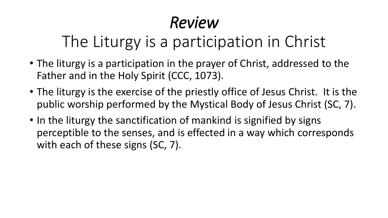## *Review*

## The Liturgy is a participation in Christ

- The liturgy is a participation in the prayer of Christ, addressed to the Father and in the Holy Spirit (CCC, 1073).
- The liturgy is the exercise of the priestly office of Jesus Christ. It is the public worship performed by the Mystical Body of Jesus Christ (SC, 7).
- In the liturgy the sanctification of mankind is signified by signs perceptible to the senses, and is effected in a way which corresponds with each of these signs (SC, 7).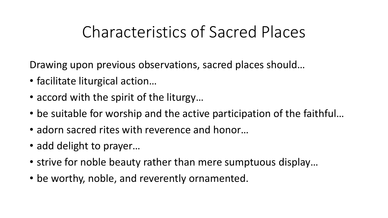### Characteristics of Sacred Places

Drawing upon previous observations, sacred places should…

- facilitate liturgical action…
- accord with the spirit of the liturgy…
- be suitable for worship and the active participation of the faithful…
- adorn sacred rites with reverence and honor…
- add delight to prayer...
- strive for noble beauty rather than mere sumptuous display…
- be worthy, noble, and reverently ornamented.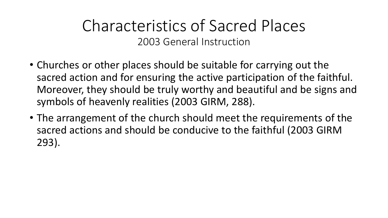- Churches or other places should be suitable for carrying out the sacred action and for ensuring the active participation of the faithful. Moreover, they should be truly worthy and beautiful and be signs and symbols of heavenly realities (2003 GIRM, 288).
- The arrangement of the church should meet the requirements of the sacred actions and should be conducive to the faithful (2003 GIRM 293).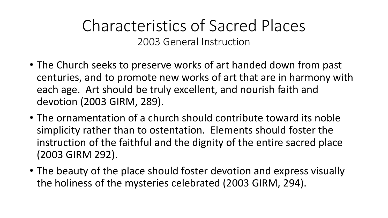- The Church seeks to preserve works of art handed down from past centuries, and to promote new works of art that are in harmony with each age. Art should be truly excellent, and nourish faith and devotion (2003 GIRM, 289).
- The ornamentation of a church should contribute toward its noble simplicity rather than to ostentation. Elements should foster the instruction of the faithful and the dignity of the entire sacred place (2003 GIRM 292).
- The beauty of the place should foster devotion and express visually the holiness of the mysteries celebrated (2003 GIRM, 294).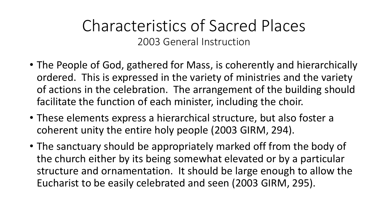- The People of God, gathered for Mass, is coherently and hierarchically ordered. This is expressed in the variety of ministries and the variety of actions in the celebration. The arrangement of the building should facilitate the function of each minister, including the choir.
- These elements express a hierarchical structure, but also foster a coherent unity the entire holy people (2003 GIRM, 294).
- The sanctuary should be appropriately marked off from the body of the church either by its being somewhat elevated or by a particular structure and ornamentation. It should be large enough to allow the Eucharist to be easily celebrated and seen (2003 GIRM, 295).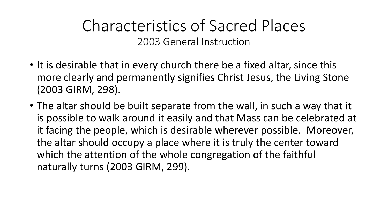- It is desirable that in every church there be a fixed altar, since this more clearly and permanently signifies Christ Jesus, the Living Stone (2003 GIRM, 298).
- The altar should be built separate from the wall, in such a way that it is possible to walk around it easily and that Mass can be celebrated at it facing the people, which is desirable wherever possible. Moreover, the altar should occupy a place where it is truly the center toward which the attention of the whole congregation of the faithful naturally turns (2003 GIRM, 299).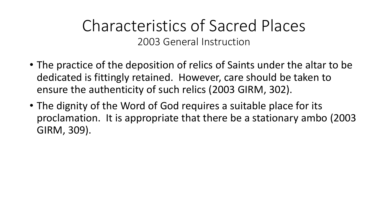- The practice of the deposition of relics of Saints under the altar to be dedicated is fittingly retained. However, care should be taken to ensure the authenticity of such relics (2003 GIRM, 302).
- The dignity of the Word of God requires a suitable place for its proclamation. It is appropriate that there be a stationary ambo (2003 GIRM, 309).